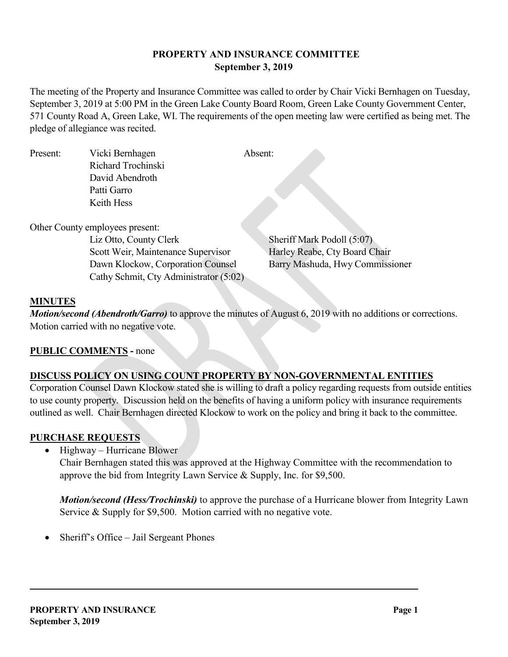## **PROPERTY AND INSURANCE COMMITTEE September 3, 2019**

The meeting of the Property and Insurance Committee was called to order by Chair Vicki Bernhagen on Tuesday, September 3, 2019 at 5:00 PM in the Green Lake County Board Room, Green Lake County Government Center, 571 County Road A, Green Lake, WI. The requirements of the open meeting law were certified as being met. The pledge of allegiance was recited.

| Present: | Vicki Bernhagen    | Absent: |
|----------|--------------------|---------|
|          | Richard Trochinski |         |
|          | David Abendroth    |         |
|          | Patti Garro        |         |
|          | Keith Hess         |         |
|          |                    |         |

Other County employees present:

Liz Otto, County Clerk Sheriff Mark Podoll (5:07) Scott Weir, Maintenance Supervisor Harley Reabe, Cty Board Chair Dawn Klockow, Corporation Counsel Barry Mashuda, Hwy Commissioner Cathy Schmit, Cty Administrator (5:02)

### **MINUTES**

*Motion/second (Abendroth/Garro)* to approve the minutes of August 6, 2019 with no additions or corrections. Motion carried with no negative vote.

### **PUBLIC COMMENTS -** none

### **DISCUSS POLICY ON USING COUNT PROPERTY BY NON-GOVERNMENTAL ENTITIES**

Corporation Counsel Dawn Klockow stated she is willing to draft a policy regarding requests from outside entities to use county property. Discussion held on the benefits of having a uniform policy with insurance requirements outlined as well. Chair Bernhagen directed Klockow to work on the policy and bring it back to the committee.

### **PURCHASE REQUESTS**

• Highway – Hurricane Blower

Chair Bernhagen stated this was approved at the Highway Committee with the recommendation to approve the bid from Integrity Lawn Service & Supply, Inc. for \$9,500.

*Motion/second (Hess/Trochinski)* to approve the purchase of a Hurricane blower from Integrity Lawn Service & Supply for \$9,500. Motion carried with no negative vote.

Sheriff's Office – Jail Sergeant Phones